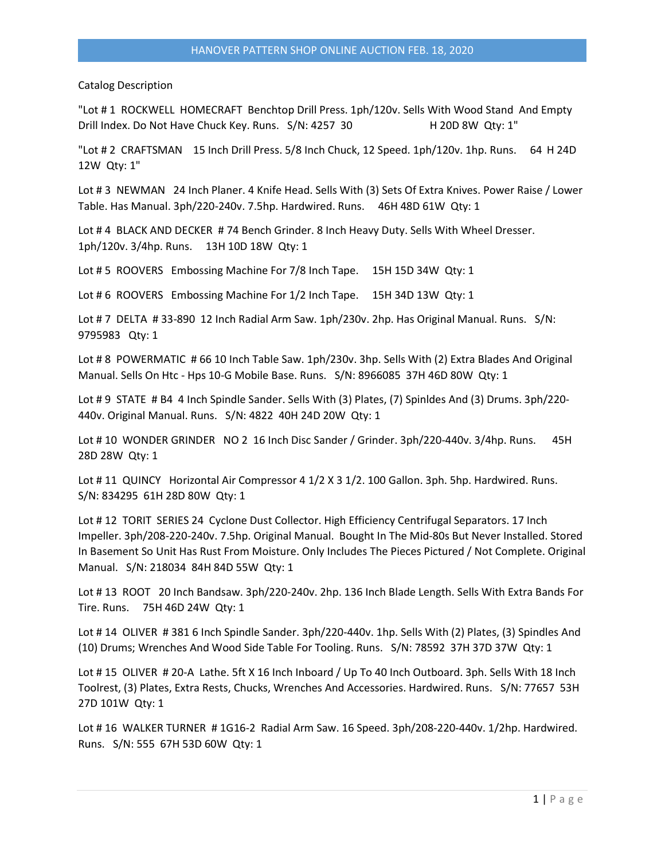Catalog Description

"Lot # 1 ROCKWELL HOMECRAFT Benchtop Drill Press. 1ph/120v. Sells With Wood Stand And Empty Drill Index. Do Not Have Chuck Key. Runs. S/N: 4257 30 H 20D 8W Qty: 1"

"Lot # 2 CRAFTSMAN 15 Inch Drill Press. 5/8 Inch Chuck, 12 Speed. 1ph/120v. 1hp. Runs. 64 H 24D 12W Qty: 1"

Lot # 3 NEWMAN 24 Inch Planer. 4 Knife Head. Sells With (3) Sets Of Extra Knives. Power Raise / Lower Table. Has Manual. 3ph/220-240v. 7.5hp. Hardwired. Runs. 46H 48D 61W Qty: 1

Lot #4 BLACK AND DECKER #74 Bench Grinder. 8 Inch Heavy Duty. Sells With Wheel Dresser. 1ph/120v. 3/4hp. Runs. 13H 10D 18W Qty: 1

Lot # 5 ROOVERS Embossing Machine For 7/8 Inch Tape. 15H 15D 34W Qty: 1

Lot #6 ROOVERS Embossing Machine For 1/2 Inch Tape. 15H 34D 13W Qty: 1

Lot # 7 DELTA # 33-890 12 Inch Radial Arm Saw. 1ph/230v. 2hp. Has Original Manual. Runs. S/N: 9795983 Qty: 1

Lot # 8 POWERMATIC # 66 10 Inch Table Saw. 1ph/230v. 3hp. Sells With (2) Extra Blades And Original Manual. Sells On Htc - Hps 10-G Mobile Base. Runs. S/N: 8966085 37H 46D 80W Qty: 1

Lot #9 STATE # B4 4 Inch Spindle Sander. Sells With (3) Plates, (7) Spinldes And (3) Drums. 3ph/220-440v. Original Manual. Runs. S/N: 4822 40H 24D 20W Qty: 1

Lot # 10 WONDER GRINDER NO 2 16 Inch Disc Sander / Grinder. 3ph/220-440v. 3/4hp. Runs. 45H 28D 28W Qty: 1

Lot #11 QUINCY Horizontal Air Compressor 4 1/2 X 3 1/2. 100 Gallon. 3ph. 5hp. Hardwired. Runs. S/N: 834295 61H 28D 80W Qty: 1

Lot # 12 TORIT SERIES 24 Cyclone Dust Collector. High Efficiency Centrifugal Separators. 17 Inch Impeller. 3ph/208-220-240v. 7.5hp. Original Manual. Bought In The Mid-80s But Never Installed. Stored In Basement So Unit Has Rust From Moisture. Only Includes The Pieces Pictured / Not Complete. Original Manual. S/N: 218034 84H 84D 55W Qty: 1

Lot # 13 ROOT 20 Inch Bandsaw. 3ph/220-240v. 2hp. 136 Inch Blade Length. Sells With Extra Bands For Tire. Runs. 75H 46D 24W Qty: 1

Lot # 14 OLIVER # 381 6 Inch Spindle Sander. 3ph/220-440v. 1hp. Sells With (2) Plates, (3) Spindles And (10) Drums; Wrenches And Wood Side Table For Tooling. Runs. S/N: 78592 37H 37D 37W Qty: 1

Lot # 15 OLIVER # 20-A Lathe. 5ft X 16 Inch Inboard / Up To 40 Inch Outboard. 3ph. Sells With 18 Inch Toolrest, (3) Plates, Extra Rests, Chucks, Wrenches And Accessories. Hardwired. Runs. S/N: 77657 53H 27D 101W Qty: 1

Lot # 16 WALKER TURNER # 1G16-2 Radial Arm Saw. 16 Speed. 3ph/208-220-440v. 1/2hp. Hardwired. Runs. S/N: 555 67H 53D 60W Qty: 1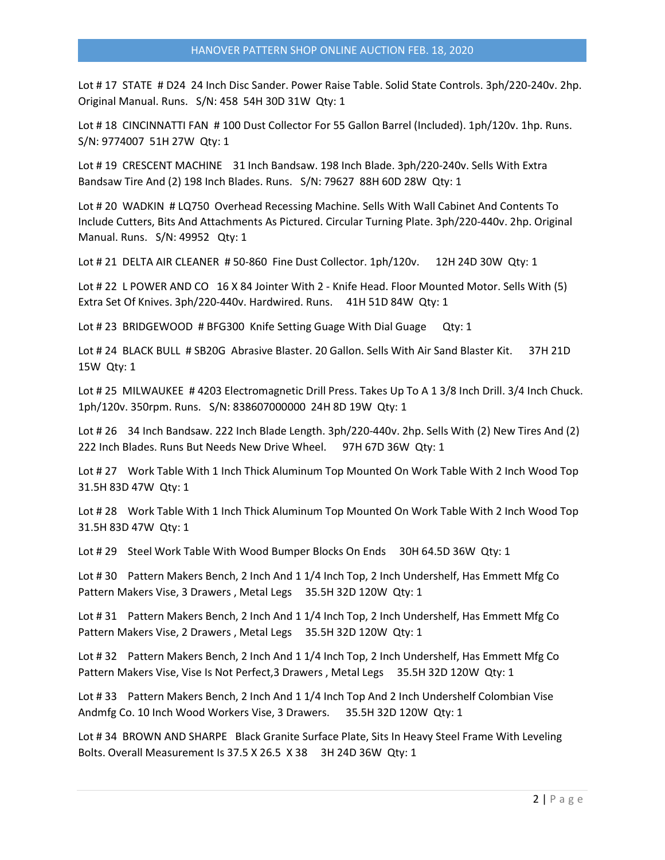Lot # 17 STATE # D24 24 Inch Disc Sander. Power Raise Table. Solid State Controls. 3ph/220-240v. 2hp. Original Manual. Runs. S/N: 458 54H 30D 31W Qty: 1

Lot # 18 CINCINNATTI FAN # 100 Dust Collector For 55 Gallon Barrel (Included). 1ph/120v. 1hp. Runs. S/N: 9774007 51H 27W Qty: 1

Lot # 19 CRESCENT MACHINE 31 Inch Bandsaw. 198 Inch Blade. 3ph/220-240v. Sells With Extra Bandsaw Tire And (2) 198 Inch Blades. Runs. S/N: 79627 88H 60D 28W Qty: 1

Lot # 20 WADKIN # LQ750 Overhead Recessing Machine. Sells With Wall Cabinet And Contents To Include Cutters, Bits And Attachments As Pictured. Circular Turning Plate. 3ph/220-440v. 2hp. Original Manual. Runs. S/N: 49952 Qty: 1

Lot # 21 DELTA AIR CLEANER # 50-860 Fine Dust Collector. 1ph/120v. 12H 24D 30W Qty: 1

Lot # 22 L POWER AND CO 16 X 84 Jointer With 2 - Knife Head. Floor Mounted Motor. Sells With (5) Extra Set Of Knives. 3ph/220-440v. Hardwired. Runs. 41H 51D 84W Qty: 1

Lot # 23 BRIDGEWOOD # BFG300 Knife Setting Guage With Dial Guage Qty: 1

Lot # 24 BLACK BULL # SB20G Abrasive Blaster. 20 Gallon. Sells With Air Sand Blaster Kit. 37H 21D 15W Qty: 1

Lot # 25 MILWAUKEE # 4203 Electromagnetic Drill Press. Takes Up To A 1 3/8 Inch Drill. 3/4 Inch Chuck. 1ph/120v. 350rpm. Runs. S/N: 838607000000 24H 8D 19W Qty: 1

Lot # 26 34 Inch Bandsaw. 222 Inch Blade Length. 3ph/220-440v. 2hp. Sells With (2) New Tires And (2) 222 Inch Blades. Runs But Needs New Drive Wheel. 97H 67D 36W Qty: 1

Lot # 27 Work Table With 1 Inch Thick Aluminum Top Mounted On Work Table With 2 Inch Wood Top 31.5H 83D 47W Qty: 1

Lot # 28 Work Table With 1 Inch Thick Aluminum Top Mounted On Work Table With 2 Inch Wood Top 31.5H 83D 47W Qty: 1

Lot # 29 Steel Work Table With Wood Bumper Blocks On Ends 30H 64.5D 36W Qty: 1

Lot #30 Pattern Makers Bench, 2 Inch And 1 1/4 Inch Top, 2 Inch Undershelf, Has Emmett Mfg Co Pattern Makers Vise, 3 Drawers, Metal Legs 35.5H 32D 120W Qty: 1

Lot #31 Pattern Makers Bench, 2 Inch And 1 1/4 Inch Top, 2 Inch Undershelf, Has Emmett Mfg Co Pattern Makers Vise, 2 Drawers , Metal Legs 35.5H 32D 120W Qty: 1

Lot #32 Pattern Makers Bench, 2 Inch And 1 1/4 Inch Top, 2 Inch Undershelf, Has Emmett Mfg Co Pattern Makers Vise, Vise Is Not Perfect,3 Drawers , Metal Legs 35.5H 32D 120W Qty: 1

Lot # 33 Pattern Makers Bench, 2 Inch And 1 1/4 Inch Top And 2 Inch Undershelf Colombian Vise Andmfg Co. 10 Inch Wood Workers Vise, 3 Drawers. 35.5H 32D 120W Qty: 1

Lot # 34 BROWN AND SHARPE Black Granite Surface Plate, Sits In Heavy Steel Frame With Leveling Bolts. Overall Measurement Is 37.5 X 26.5 X 38 3H 24D 36W Qty: 1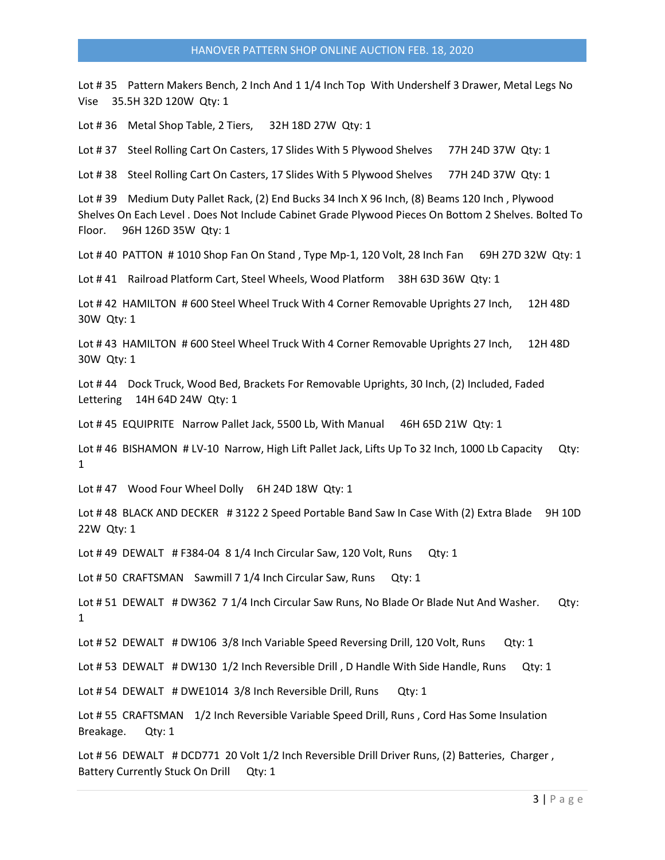Lot #35 Pattern Makers Bench, 2 Inch And 1 1/4 Inch Top With Undershelf 3 Drawer, Metal Legs No Vise 35.5H 32D 120W Qty: 1

Lot # 36 Metal Shop Table, 2 Tiers, 32H 18D 27W Qty: 1

Lot #37 Steel Rolling Cart On Casters, 17 Slides With 5 Plywood Shelves 77H 24D 37W Qty: 1

Lot #38 Steel Rolling Cart On Casters, 17 Slides With 5 Plywood Shelves 77H 24D 37W Qty: 1

Lot # 39 Medium Duty Pallet Rack, (2) End Bucks 34 Inch X 96 Inch, (8) Beams 120 Inch , Plywood Shelves On Each Level . Does Not Include Cabinet Grade Plywood Pieces On Bottom 2 Shelves. Bolted To Floor. 96H 126D 35W Qty: 1

Lot # 40 PATTON # 1010 Shop Fan On Stand, Type Mp-1, 120 Volt, 28 Inch Fan 69H 27D 32W Qty: 1

Lot #41 Railroad Platform Cart, Steel Wheels, Wood Platform 38H 63D 36W Qty: 1

Lot #42 HAMILTON #600 Steel Wheel Truck With 4 Corner Removable Uprights 27 Inch, 12H 48D 30W Qty: 1

Lot #43 HAMILTON #600 Steel Wheel Truck With 4 Corner Removable Uprights 27 Inch, 12H 48D 30W Qty: 1

Lot # 44 Dock Truck, Wood Bed, Brackets For Removable Uprights, 30 Inch, (2) Included, Faded Lettering 14H 64D 24W Qty: 1

Lot #45 EQUIPRITE Narrow Pallet Jack, 5500 Lb, With Manual 46H 65D 21W Qty: 1

Lot #46 BISHAMON # LV-10 Narrow, High Lift Pallet Jack, Lifts Up To 32 Inch, 1000 Lb Capacity Qty: 1

Lot #47 Wood Four Wheel Dolly 6H 24D 18W Qty: 1

Lot #48 BLACK AND DECKER #3122 2 Speed Portable Band Saw In Case With (2) Extra Blade 9H 10D 22W Qty: 1

Lot # 49 DEWALT # F384-04 8 1/4 Inch Circular Saw, 120 Volt, Runs Qty: 1

Lot # 50 CRAFTSMAN Sawmill 7 1/4 Inch Circular Saw, Runs Qty: 1

Lot # 51 DEWALT # DW362 7 1/4 Inch Circular Saw Runs, No Blade Or Blade Nut And Washer. Qty: 1

Lot #52 DEWALT #DW106 3/8 Inch Variable Speed Reversing Drill, 120 Volt, Runs Qty: 1

Lot #53 DEWALT # DW130 1/2 Inch Reversible Drill, D Handle With Side Handle, Runs Qty: 1

Lot #54 DEWALT # DWE1014 3/8 Inch Reversible Drill, Runs Qty: 1

Lot # 55 CRAFTSMAN 1/2 Inch Reversible Variable Speed Drill, Runs, Cord Has Some Insulation Breakage. Qty: 1

Lot # 56 DEWALT # DCD771 20 Volt 1/2 Inch Reversible Drill Driver Runs, (2) Batteries, Charger , Battery Currently Stuck On Drill Qty: 1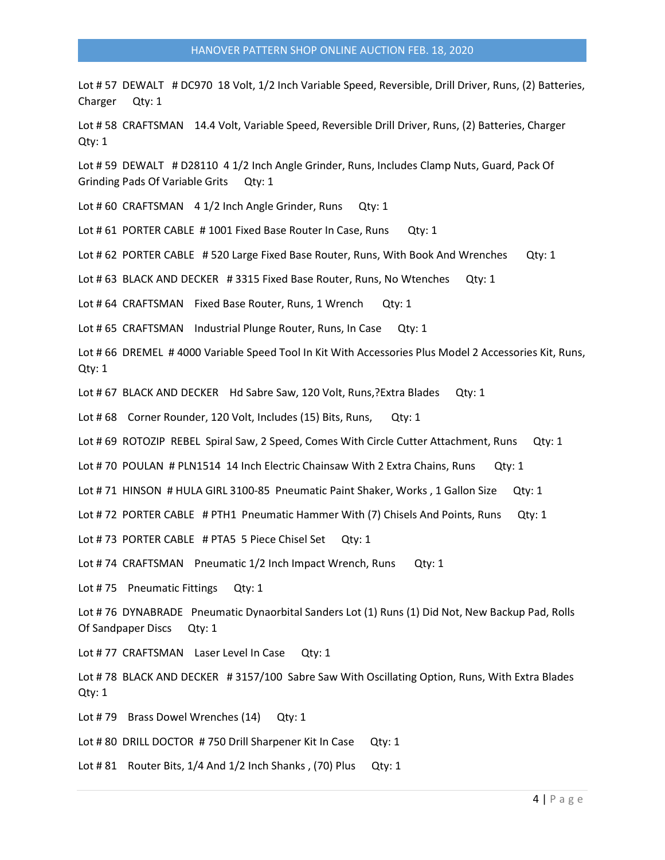Lot # 57 DEWALT # DC970 18 Volt, 1/2 Inch Variable Speed, Reversible, Drill Driver, Runs, (2) Batteries, Charger Qty: 1

Lot # 58 CRAFTSMAN 14.4 Volt, Variable Speed, Reversible Drill Driver, Runs, (2) Batteries, Charger Qty: 1

Lot # 59 DEWALT # D28110 4 1/2 Inch Angle Grinder, Runs, Includes Clamp Nuts, Guard, Pack Of Grinding Pads Of Variable Grits Qty: 1

Lot #60 CRAFTSMAN 4 1/2 Inch Angle Grinder, Runs Qty: 1

Lot # 61 PORTER CABLE # 1001 Fixed Base Router In Case, Runs Qty: 1

Lot #62 PORTER CABLE #520 Large Fixed Base Router, Runs, With Book And Wrenches Qty: 1

Lot # 63 BLACK AND DECKER # 3315 Fixed Base Router, Runs, No Wtenches Qty: 1

Lot #64 CRAFTSMAN Fixed Base Router, Runs, 1 Wrench Qty: 1

Lot # 65 CRAFTSMAN Industrial Plunge Router, Runs, In Case Qty: 1

Lot # 66 DREMEL # 4000 Variable Speed Tool In Kit With Accessories Plus Model 2 Accessories Kit, Runs, Qty: 1

Lot # 67 BLACK AND DECKER Hd Sabre Saw, 120 Volt, Runs, ?Extra Blades Qty: 1

Lot #68 Corner Rounder, 120 Volt, Includes (15) Bits, Runs, Qty: 1

Lot #69 ROTOZIP REBEL Spiral Saw, 2 Speed, Comes With Circle Cutter Attachment, Runs Qty: 1

Lot #70 POULAN # PLN1514 14 Inch Electric Chainsaw With 2 Extra Chains, Runs Qty: 1

Lot #71 HINSON #HULA GIRL 3100-85 Pneumatic Paint Shaker, Works, 1 Gallon Size Qty: 1

Lot #72 PORTER CABLE #PTH1 Pneumatic Hammer With (7) Chisels And Points, Runs Qty: 1

Lot #73 PORTER CABLE # PTA5 5 Piece Chisel Set Qty: 1

Lot #74 CRAFTSMAN Pneumatic 1/2 Inch Impact Wrench, Runs Qty: 1

Lot #75 Pneumatic Fittings Qty: 1

Lot # 76 DYNABRADE Pneumatic Dynaorbital Sanders Lot (1) Runs (1) Did Not, New Backup Pad, Rolls Of Sandpaper Discs Qty: 1

Lot #77 CRAFTSMAN Laser Level In Case Qty: 1

Lot # 78 BLACK AND DECKER # 3157/100 Sabre Saw With Oscillating Option, Runs, With Extra Blades Qty: 1

Lot #79 Brass Dowel Wrenches (14) Qty: 1

Lot #80 DRILL DOCTOR #750 Drill Sharpener Kit In Case Qty: 1

Lot # 81 Router Bits, 1/4 And 1/2 Inch Shanks, (70) Plus Qty: 1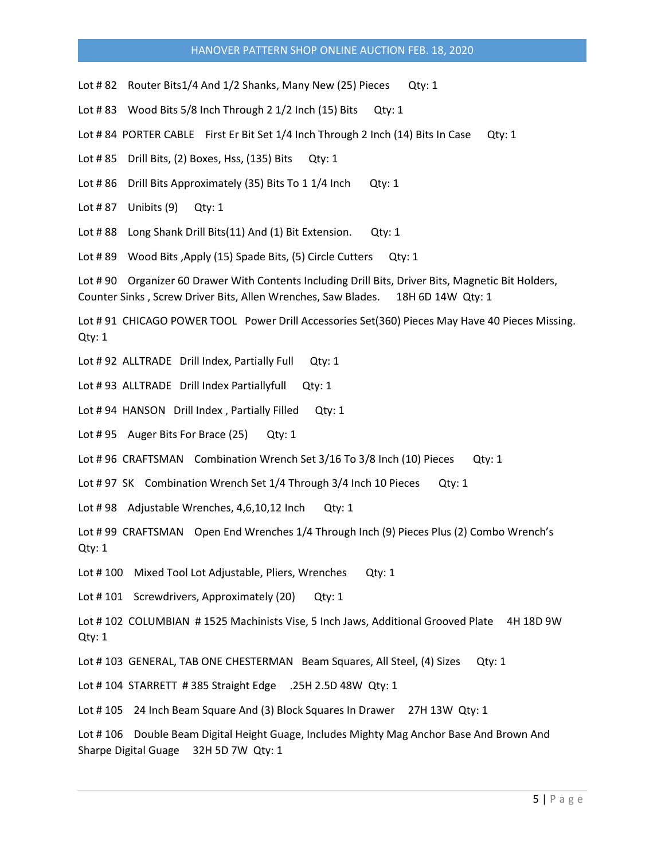Lot #82 Router Bits1/4 And 1/2 Shanks, Many New (25) Pieces Qty: 1

Lot #83 Wood Bits 5/8 Inch Through 2 1/2 Inch (15) Bits Qty: 1

Lot # 84 PORTER CABLE First Er Bit Set 1/4 Inch Through 2 Inch (14) Bits In Case Qty: 1

Lot # 85 Drill Bits, (2) Boxes, Hss, (135) Bits Qty: 1

Lot #86 Drill Bits Approximately (35) Bits To 1 1/4 Inch Qty: 1

Lot # 87 Unibits (9) Qty: 1

Lot #88 Long Shank Drill Bits(11) And (1) Bit Extension. Qty: 1

Lot #89 Wood Bits, Apply (15) Spade Bits, (5) Circle Cutters Qty: 1

Lot # 90 Organizer 60 Drawer With Contents Including Drill Bits, Driver Bits, Magnetic Bit Holders, Counter Sinks , Screw Driver Bits, Allen Wrenches, Saw Blades. 18H 6D 14W Qty: 1

Lot # 91 CHICAGO POWER TOOL Power Drill Accessories Set(360) Pieces May Have 40 Pieces Missing. Qty: 1

Lot # 92 ALLTRADE Drill Index, Partially Full Qty: 1

Lot # 93 ALLTRADE Drill Index Partiallyfull Qty: 1

Lot # 94 HANSON Drill Index, Partially Filled Qty: 1

Lot # 95 Auger Bits For Brace (25) Qty: 1

Lot # 96 CRAFTSMAN Combination Wrench Set 3/16 To 3/8 Inch (10) Pieces Qty: 1

Lot # 97 SK Combination Wrench Set 1/4 Through 3/4 Inch 10 Pieces Qty: 1

Lot #98 Adjustable Wrenches, 4,6,10,12 Inch Qty: 1

Lot # 99 CRAFTSMAN Open End Wrenches 1/4 Through Inch (9) Pieces Plus (2) Combo Wrench's Qty: 1

Lot #100 Mixed Tool Lot Adjustable, Pliers, Wrenches Qty: 1

Lot #101 Screwdrivers, Approximately (20) Qty: 1

Lot # 102 COLUMBIAN # 1525 Machinists Vise, 5 Inch Jaws, Additional Grooved Plate 4H 18D 9W Qty: 1

Lot # 103 GENERAL, TAB ONE CHESTERMAN Beam Squares, All Steel, (4) Sizes Qty: 1

Lot # 104 STARRETT # 385 Straight Edge .25H 2.5D 48W Qty: 1

Lot #105 24 Inch Beam Square And (3) Block Squares In Drawer 27H 13W Qty: 1

Lot #106 Double Beam Digital Height Guage, Includes Mighty Mag Anchor Base And Brown And Sharpe Digital Guage 32H 5D 7W Qty: 1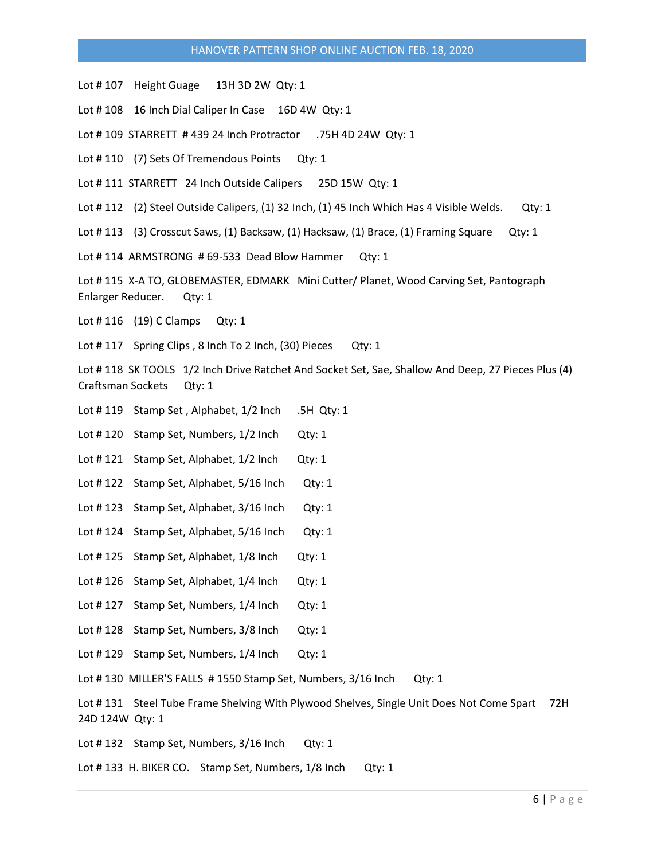- Lot #107 Height Guage 13H 3D 2W Qty: 1
- Lot #108 16 Inch Dial Caliper In Case 16D 4W Qty: 1
- Lot # 109 STARRETT # 439 24 Inch Protractor .75H 4D 24W Qty: 1
- Lot #110 (7) Sets Of Tremendous Points Qty: 1
- Lot #111 STARRETT 24 Inch Outside Calipers 25D 15W Qty: 1
- Lot # 112 (2) Steel Outside Calipers, (1) 32 Inch, (1) 45 Inch Which Has 4 Visible Welds. Qty: 1
- Lot # 113 (3) Crosscut Saws, (1) Backsaw, (1) Hacksaw, (1) Brace, (1) Framing Square Qty: 1
- Lot #114 ARMSTRONG #69-533 Dead Blow Hammer Qty: 1

Lot #115 X-A TO, GLOBEMASTER, EDMARK Mini Cutter/ Planet, Wood Carving Set, Pantograph Enlarger Reducer. Qty: 1

- Lot # 116 (19) C Clamps Qty: 1
- Lot #117 Spring Clips, 8 Inch To 2 Inch, (30) Pieces Qty: 1

Lot # 118 SK TOOLS 1/2 Inch Drive Ratchet And Socket Set, Sae, Shallow And Deep, 27 Pieces Plus (4) Craftsman Sockets Qty: 1

- Lot #119 Stamp Set, Alphabet, 1/2 Inch .5H Qty: 1
- Lot #120 Stamp Set, Numbers, 1/2 Inch Qty: 1
- Lot #121 Stamp Set, Alphabet, 1/2 Inch Qty: 1
- Lot #122 Stamp Set, Alphabet, 5/16 Inch Qty: 1
- Lot #123 Stamp Set, Alphabet, 3/16 Inch Qty: 1
- Lot #124 Stamp Set, Alphabet, 5/16 Inch Qty: 1
- Lot #125 Stamp Set, Alphabet, 1/8 Inch Qty: 1
- Lot #126 Stamp Set, Alphabet, 1/4 Inch Qty: 1
- Lot #127 Stamp Set, Numbers, 1/4 Inch Qty: 1
- Lot #128 Stamp Set, Numbers, 3/8 Inch Qty: 1
- Lot #129 Stamp Set, Numbers, 1/4 Inch Qty: 1
- Lot #130 MILLER'S FALLS #1550 Stamp Set, Numbers, 3/16 Inch Qty: 1

Lot #131 Steel Tube Frame Shelving With Plywood Shelves, Single Unit Does Not Come Spart 72H 24D 124W Qty: 1

- Lot #132 Stamp Set, Numbers, 3/16 Inch Qty: 1
- Lot #133 H. BIKER CO. Stamp Set, Numbers, 1/8 Inch Qty: 1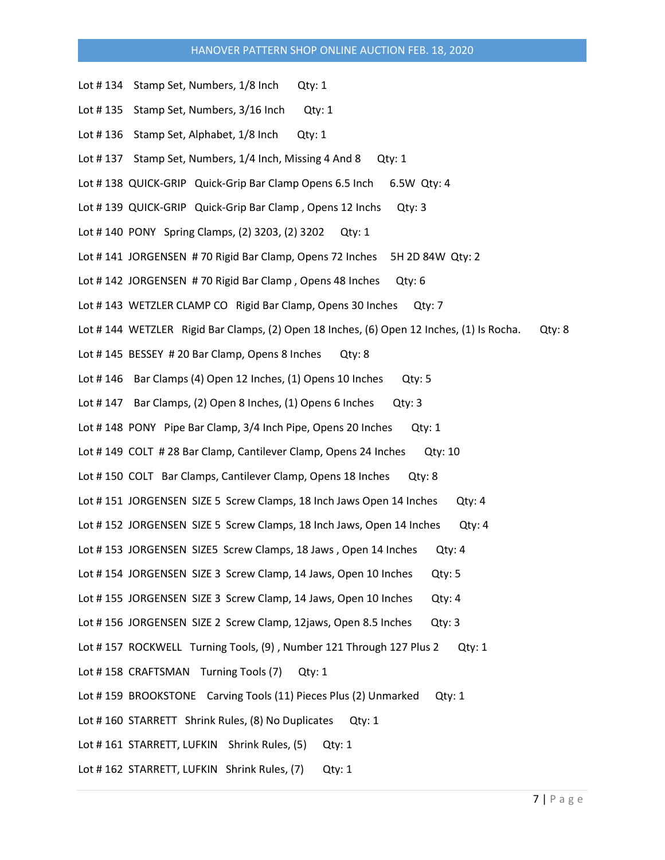- Lot #134 Stamp Set, Numbers, 1/8 Inch Qty: 1
- Lot #135 Stamp Set, Numbers, 3/16 Inch Qty: 1
- Lot #136 Stamp Set, Alphabet, 1/8 Inch Qty: 1
- Lot #137 Stamp Set, Numbers, 1/4 Inch, Missing 4 And 8 Qty: 1
- Lot # 138 QUICK-GRIP Quick-Grip Bar Clamp Opens 6.5 Inch 6.5W Qty: 4
- Lot # 139 QUICK-GRIP Quick-Grip Bar Clamp, Opens 12 Inchs Qty: 3
- Lot # 140 PONY Spring Clamps, (2) 3203, (2) 3202 Qty: 1
- Lot # 141 JORGENSEN # 70 Rigid Bar Clamp, Opens 72 Inches 5H 2D 84W Qty: 2
- Lot # 142 JORGENSEN # 70 Rigid Bar Clamp, Opens 48 Inches Qty: 6
- Lot #143 WETZLER CLAMP CO Rigid Bar Clamp, Opens 30 Inches Qty: 7
- Lot # 144 WETZLER Rigid Bar Clamps, (2) Open 18 Inches, (6) Open 12 Inches, (1) Is Rocha. Qty: 8
- Lot #145 BESSEY #20 Bar Clamp, Opens 8 Inches Qty: 8
- Lot #146 Bar Clamps (4) Open 12 Inches, (1) Opens 10 Inches Qty: 5
- Lot #147 Bar Clamps, (2) Open 8 Inches, (1) Opens 6 Inches Qty: 3
- Lot # 148 PONY Pipe Bar Clamp, 3/4 Inch Pipe, Opens 20 Inches Qty: 1
- Lot # 149 COLT # 28 Bar Clamp, Cantilever Clamp, Opens 24 Inches Qty: 10
- Lot # 150 COLT Bar Clamps, Cantilever Clamp, Opens 18 Inches Qty: 8
- Lot # 151 JORGENSEN SIZE 5 Screw Clamps, 18 Inch Jaws Open 14 Inches Qty: 4
- Lot # 152 JORGENSEN SIZE 5 Screw Clamps, 18 Inch Jaws, Open 14 Inches Qty: 4
- Lot # 153 JORGENSEN SIZE5 Screw Clamps, 18 Jaws, Open 14 Inches Qty: 4
- Lot # 154 JORGENSEN SIZE 3 Screw Clamp, 14 Jaws, Open 10 Inches Qty: 5
- Lot # 155 JORGENSEN SIZE 3 Screw Clamp, 14 Jaws, Open 10 Inches Qty: 4
- Lot # 156 JORGENSEN SIZE 2 Screw Clamp, 12 jaws, Open 8.5 Inches Qty: 3
- Lot # 157 ROCKWELL Turning Tools, (9), Number 121 Through 127 Plus 2 Qty: 1
- Lot #158 CRAFTSMAN Turning Tools (7) Qty: 1
- Lot #159 BROOKSTONE Carving Tools (11) Pieces Plus (2) Unmarked Qty: 1
- Lot #160 STARRETT Shrink Rules, (8) No Duplicates Qty: 1
- Lot # 161 STARRETT, LUFKIN Shrink Rules, (5) Qty: 1
- Lot # 162 STARRETT, LUFKIN Shrink Rules, (7) Qty: 1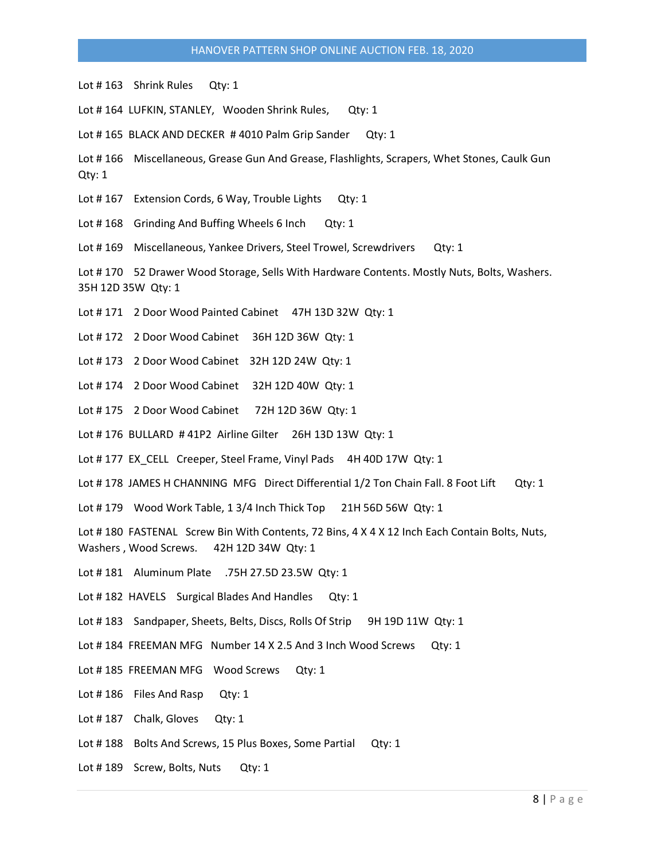Lot #163 Shrink Rules Qty: 1

Lot #164 LUFKIN, STANLEY, Wooden Shrink Rules, Qty: 1

Lot #165 BLACK AND DECKER #4010 Palm Grip Sander Qty: 1

Lot # 166 Miscellaneous, Grease Gun And Grease, Flashlights, Scrapers, Whet Stones, Caulk Gun Qty: 1

Lot #167 Extension Cords, 6 Way, Trouble Lights Qty: 1

Lot #168 Grinding And Buffing Wheels 6 Inch Qty: 1

Lot #169 Miscellaneous, Yankee Drivers, Steel Trowel, Screwdrivers Qty: 1

Lot #170 52 Drawer Wood Storage, Sells With Hardware Contents. Mostly Nuts, Bolts, Washers. 35H 12D 35W Qty: 1

Lot #171 2 Door Wood Painted Cabinet 47H 13D 32W Qty: 1

Lot #172 2 Door Wood Cabinet 36H 12D 36W Qty: 1

Lot # 173 2 Door Wood Cabinet 32H 12D 24W Qty: 1

Lot # 174 2 Door Wood Cabinet 32H 12D 40W Qty: 1

Lot # 175 2 Door Wood Cabinet 72H 12D 36W Qty: 1

Lot # 176 BULLARD # 41P2 Airline Gilter 26H 13D 13W Qty: 1

Lot # 177 EX\_CELL Creeper, Steel Frame, Vinyl Pads 4H 40D 17W Qty: 1

Lot # 178 JAMES H CHANNING MFG Direct Differential 1/2 Ton Chain Fall. 8 Foot Lift Qty: 1

Lot # 179 Wood Work Table, 1 3/4 Inch Thick Top 21H 56D 56W Qty: 1

Lot # 180 FASTENAL Screw Bin With Contents, 72 Bins, 4 X 4 X 12 Inch Each Contain Bolts, Nuts, Washers , Wood Screws. 42H 12D 34W Qty: 1

Lot # 181 Aluminum Plate .75H 27.5D 23.5W Qty: 1

Lot #182 HAVELS Surgical Blades And Handles Qty: 1

Lot #183 Sandpaper, Sheets, Belts, Discs, Rolls Of Strip 9H 19D 11W Qty: 1

Lot # 184 FREEMAN MFG Number 14 X 2.5 And 3 Inch Wood Screws Qty: 1

Lot #185 FREEMAN MFG Wood Screws Qty: 1

Lot #186 Files And Rasp Qty: 1

Lot #187 Chalk, Gloves Qty: 1

Lot #188 Bolts And Screws, 15 Plus Boxes, Some Partial Qty: 1

Lot #189 Screw, Bolts, Nuts Qty: 1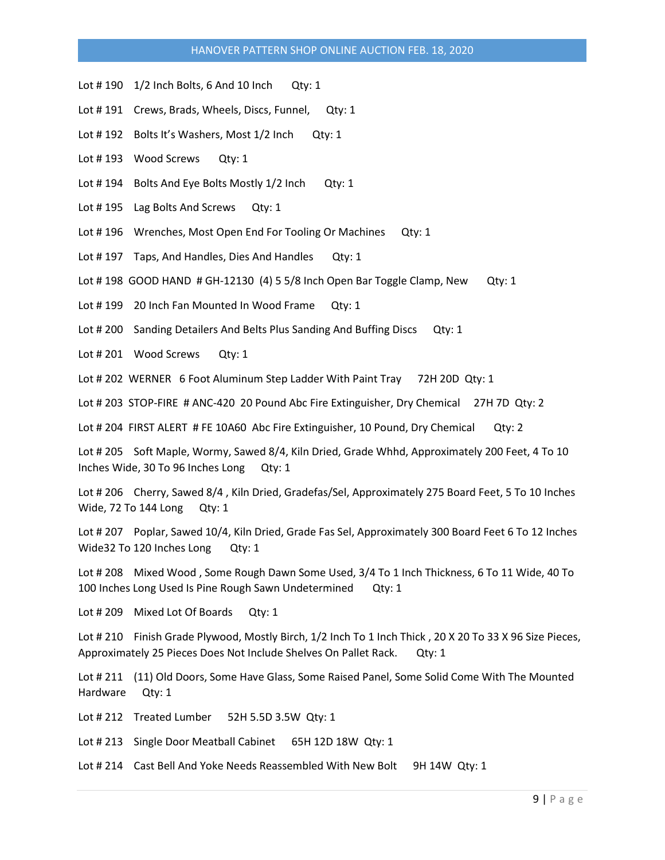- Lot # 190 1/2 Inch Bolts, 6 And 10 Inch Qty: 1
- Lot #191 Crews, Brads, Wheels, Discs, Funnel, Qty: 1
- Lot #192 Bolts It's Washers, Most 1/2 Inch Qty: 1
- Lot #193 Wood Screws Qty: 1
- Lot #194 Bolts And Eye Bolts Mostly 1/2 Inch Qty: 1
- Lot #195 Lag Bolts And Screws Qty: 1
- Lot #196 Wrenches, Most Open End For Tooling Or Machines Qty: 1
- Lot #197 Taps, And Handles, Dies And Handles Qty: 1
- Lot # 198 GOOD HAND # GH-12130 (4) 5 5/8 Inch Open Bar Toggle Clamp, New Qty: 1
- Lot #199 20 Inch Fan Mounted In Wood Frame Qty: 1
- Lot # 200 Sanding Detailers And Belts Plus Sanding And Buffing Discs Qty: 1
- Lot # 201 Wood Screws Qty: 1
- Lot # 202 WERNER 6 Foot Aluminum Step Ladder With Paint Tray 72H 20D Qty: 1
- Lot # 203 STOP-FIRE # ANC-420 20 Pound Abc Fire Extinguisher, Dry Chemical 27H 7D Qty: 2
- Lot # 204 FIRST ALERT # FE 10A60 Abc Fire Extinguisher, 10 Pound, Dry Chemical Qty: 2
- Lot # 205 Soft Maple, Wormy, Sawed 8/4, Kiln Dried, Grade Whhd, Approximately 200 Feet, 4 To 10 Inches Wide, 30 To 96 Inches Long Qty: 1
- Lot # 206 Cherry, Sawed 8/4 , Kiln Dried, Gradefas/Sel, Approximately 275 Board Feet, 5 To 10 Inches Wide, 72 To 144 Long Qty: 1
- Lot # 207 Poplar, Sawed 10/4, Kiln Dried, Grade Fas Sel, Approximately 300 Board Feet 6 To 12 Inches Wide32 To 120 Inches Long Qty: 1
- Lot # 208 Mixed Wood , Some Rough Dawn Some Used, 3/4 To 1 Inch Thickness, 6 To 11 Wide, 40 To 100 Inches Long Used Is Pine Rough Sawn Undetermined Qty: 1
- Lot # 209 Mixed Lot Of Boards Qty: 1
- Lot # 210 Finish Grade Plywood, Mostly Birch, 1/2 Inch To 1 Inch Thick , 20 X 20 To 33 X 96 Size Pieces, Approximately 25 Pieces Does Not Include Shelves On Pallet Rack. Qty: 1
- Lot # 211 (11) Old Doors, Some Have Glass, Some Raised Panel, Some Solid Come With The Mounted Hardware Qty: 1
- Lot # 212 Treated Lumber 52H 5.5D 3.5W Qty: 1
- Lot # 213 Single Door Meatball Cabinet 65H 12D 18W Qty: 1
- Lot # 214 Cast Bell And Yoke Needs Reassembled With New Bolt 9H 14W Qty: 1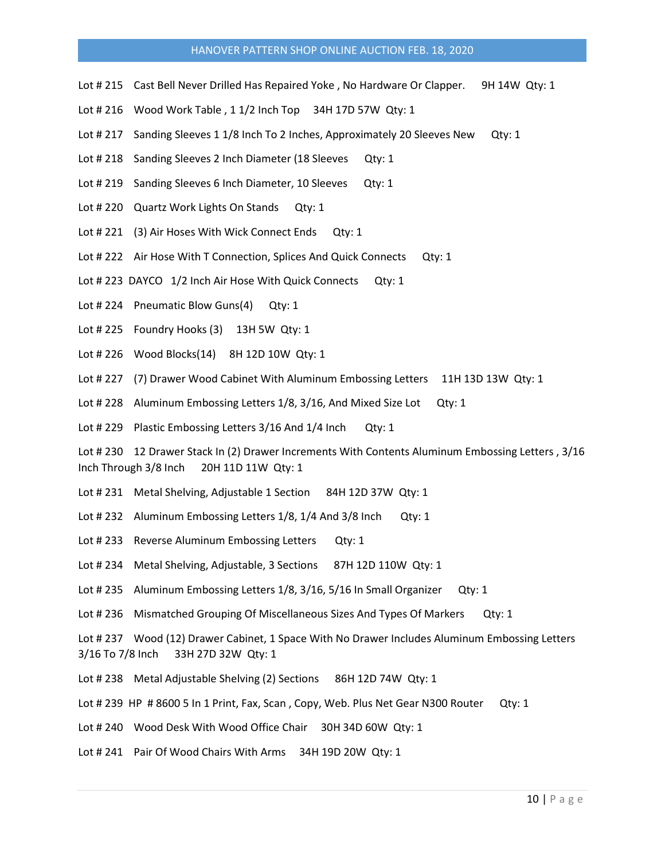- Lot # 215 Cast Bell Never Drilled Has Repaired Yoke, No Hardware Or Clapper. 9H 14W Qty: 1
- Lot # 216 Wood Work Table , 1 1/2 Inch Top 34H 17D 57W Qty: 1
- Lot # 217 Sanding Sleeves 1 1/8 Inch To 2 Inches, Approximately 20 Sleeves New Qty: 1
- Lot # 218 Sanding Sleeves 2 Inch Diameter (18 Sleeves Qty: 1
- Lot #219 Sanding Sleeves 6 Inch Diameter, 10 Sleeves Qty: 1
- Lot # 220 Quartz Work Lights On Stands Qty: 1
- Lot # 221 (3) Air Hoses With Wick Connect Ends Qty: 1
- Lot # 222 Air Hose With T Connection, Splices And Quick Connects Qty: 1
- Lot # 223 DAYCO 1/2 Inch Air Hose With Quick Connects Qty: 1
- Lot # 224 Pneumatic Blow Guns(4) Qty: 1
- Lot # 225 Foundry Hooks (3) 13H 5W Qty: 1
- Lot # 226 Wood Blocks(14) 8H 12D 10W Qty: 1
- Lot # 227 (7) Drawer Wood Cabinet With Aluminum Embossing Letters 11H 13D 13W Qty: 1
- Lot # 228 Aluminum Embossing Letters 1/8, 3/16, And Mixed Size Lot Qty: 1
- Lot # 229 Plastic Embossing Letters 3/16 And 1/4 Inch Qty: 1

Lot # 230 12 Drawer Stack In (2) Drawer Increments With Contents Aluminum Embossing Letters , 3/16 Inch Through 3/8 Inch 20H 11D 11W Qty: 1

- Lot # 231 Metal Shelving, Adjustable 1 Section 84H 12D 37W Qty: 1
- Lot # 232 Aluminum Embossing Letters 1/8, 1/4 And 3/8 Inch Qty: 1
- Lot #233 Reverse Aluminum Embossing Letters Qty: 1
- Lot # 234 Metal Shelving, Adjustable, 3 Sections 87H 12D 110W Qty: 1
- Lot # 235 Aluminum Embossing Letters 1/8, 3/16, 5/16 In Small Organizer Qty: 1
- Lot # 236 Mismatched Grouping Of Miscellaneous Sizes And Types Of Markers Qty: 1
- Lot # 237 Wood (12) Drawer Cabinet, 1 Space With No Drawer Includes Aluminum Embossing Letters 3/16 To 7/8 Inch 33H 27D 32W Qty: 1
- Lot # 238 Metal Adjustable Shelving (2) Sections 86H 12D 74W Qty: 1
- Lot # 239 HP # 8600 5 In 1 Print, Fax, Scan, Copy, Web. Plus Net Gear N300 Router Qty: 1
- Lot #240 Wood Desk With Wood Office Chair 30H 34D 60W Qty: 1
- Lot # 241 Pair Of Wood Chairs With Arms 34H 19D 20W Qty: 1